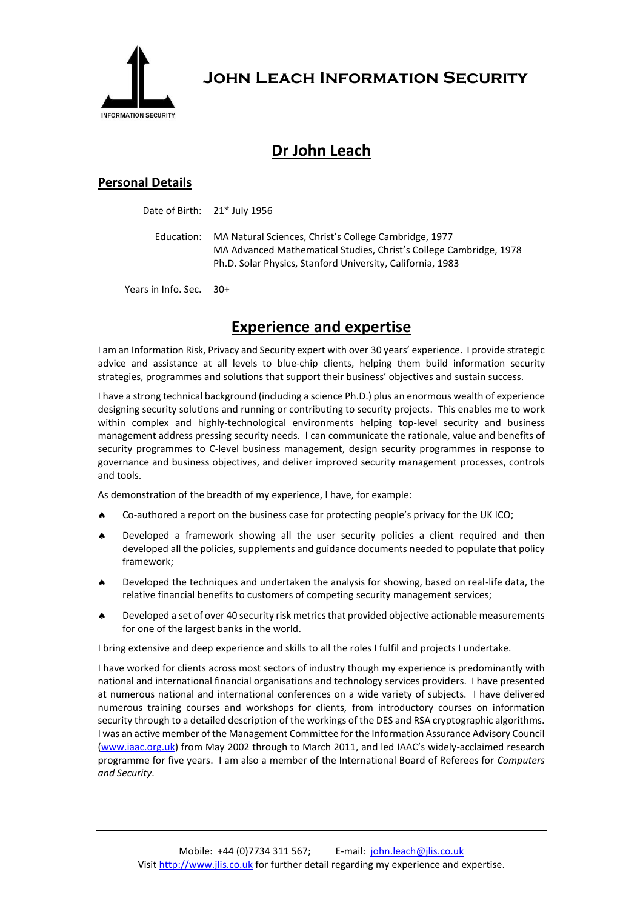

**John Leach Information Security**

## **Dr John Leach**

## **Personal Details**

Date of Birth: 21<sup>st</sup> July 1956

Education: MA Natural Sciences, Christ's College Cambridge, 1977 MA Advanced Mathematical Studies, Christ's College Cambridge, 1978 Ph.D. Solar Physics, Stanford University, California, 1983

Years in Info. Sec. 30+

## **Experience and expertise**

I am an Information Risk, Privacy and Security expert with over 30 years' experience. I provide strategic advice and assistance at all levels to blue-chip clients, helping them build information security strategies, programmes and solutions that support their business' objectives and sustain success.

I have a strong technical background (including a science Ph.D.) plus an enormous wealth of experience designing security solutions and running or contributing to security projects. This enables me to work within complex and highly-technological environments helping top-level security and business management address pressing security needs. I can communicate the rationale, value and benefits of security programmes to C-level business management, design security programmes in response to governance and business objectives, and deliver improved security management processes, controls and tools.

As demonstration of the breadth of my experience, I have, for example:

- Co-authored a report on the business case for protecting people's privacy for the UK ICO;
- Developed a framework showing all the user security policies a client required and then developed all the policies, supplements and guidance documents needed to populate that policy framework;
- Developed the techniques and undertaken the analysis for showing, based on real-life data, the relative financial benefits to customers of competing security management services;
- Developed a set of over 40 security risk metrics that provided objective actionable measurements for one of the largest banks in the world.

I bring extensive and deep experience and skills to all the roles I fulfil and projects I undertake.

I have worked for clients across most sectors of industry though my experience is predominantly with national and international financial organisations and technology services providers. I have presented at numerous national and international conferences on a wide variety of subjects. I have delivered numerous training courses and workshops for clients, from introductory courses on information security through to a detailed description of the workings of the DES and RSA cryptographic algorithms. I was an active member of the Management Committee for the Information Assurance Advisory Council [\(www.iaac.org.uk\)](http://www.iaac.org.uk/) from May 2002 through to March 2011, and led IAAC's widely-acclaimed research programme for five years. I am also a member of the International Board of Referees for *Computers and Security*.